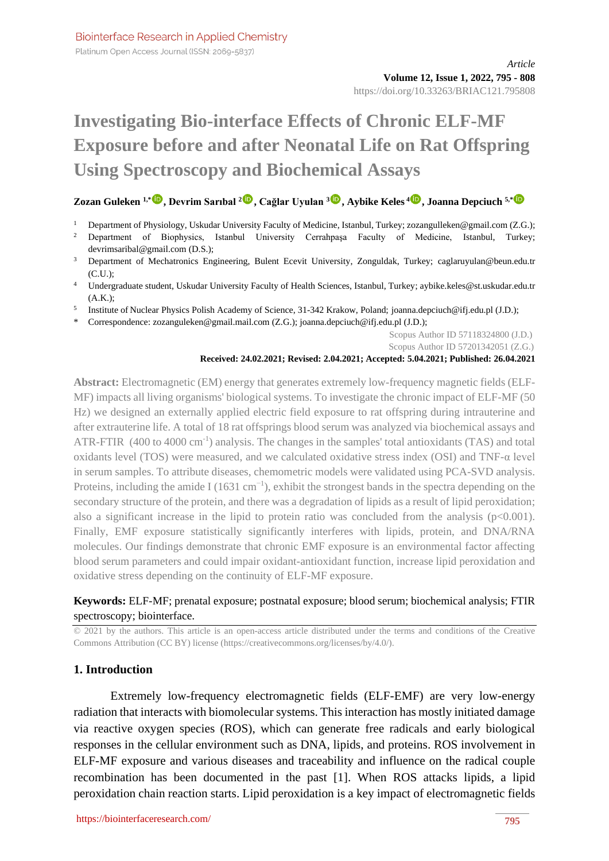# **Investigating Bio-interface Effects of Chronic ELF-MF Exposure before and after Neonatal Life on Rat Offspring Using Spectroscopy and Biochemical Assays**

# **Zozan Guleken 1,\* [,](https://orcid.org/0000-0002-4136-4447) Devrim Sarıbal [2](https://orcid.org/0000-0003-3301-3708) , Cağlar Uyulan [3](https://orcid.org/0000-0002-6423-6720) , Aybike Keles <sup>4</sup> , Joanna Depciuch 5,\***

- <sup>1</sup> Department of Physiology, Uskudar University Faculty of Medicine, Istanbul, Turkey; zozangulleken@gmail.com (Z.G.);
- <sup>2</sup> Department of Biophysics, Istanbul University Cerrahpaşa Faculty of Medicine, Istanbul, Turkey; devrimsaribal@gmail.com (D.S.);
- <sup>3</sup> Department of Mechatronics Engineering, Bulent Ecevit University, Zonguldak, Turkey; caglaruyulan@beun.edu.tr (C.U.);
- <sup>4</sup> Undergraduate student, Uskudar University Faculty of Health Sciences, Istanbul, Turkey; aybike.keles@st.uskudar.edu.tr (A.K.);
- <sup>5</sup> Institute of Nuclear Physics Polish Academy of Science, 31-342 Krakow, Poland; joanna.depciuch@ifj.edu.pl (J.D.);
- \* Correspondence: zozanguleken@gmail.mail.com (Z.G.); joanna.depciuch@ifj.edu.pl (J.D.);

Scopus Author ID 57118324800 (J.D.)

Scopus Author ID 57201342051 (Z.G.)

#### **Received: 24.02.2021; Revised: 2.04.2021; Accepted: 5.04.2021; Published: 26.04.2021**

**Abstract:** Electromagnetic (EM) energy that generates extremely low-frequency magnetic fields (ELF-MF) impacts all living organisms' biological systems. To investigate the chronic impact of ELF-MF (50 Hz) we designed an externally applied electric field exposure to rat offspring during intrauterine and after extrauterine life. A total of 18 rat offsprings blood serum was analyzed via biochemical assays and ATR-FTIR (400 to 4000 cm<sup>-1</sup>) analysis. The changes in the samples' total antioxidants (TAS) and total oxidants level (TOS) were measured, and we calculated oxidative stress index (OSI) and TNF-α level in serum samples. To attribute diseases, chemometric models were validated using PCA-SVD analysis. Proteins, including the amide I (1631 cm<sup>-1</sup>), exhibit the strongest bands in the spectra depending on the secondary structure of the protein, and there was a degradation of lipids as a result of lipid peroxidation; also a significant increase in the lipid to protein ratio was concluded from the analysis ( $p<0.001$ ). Finally, EMF exposure statistically significantly interferes with lipids, protein, and DNA/RNA molecules. Our findings demonstrate that chronic EMF exposure is an environmental factor affecting blood serum parameters and could impair oxidant-antioxidant function, increase lipid peroxidation and oxidative stress depending on the continuity of ELF-MF exposure.

# **Keywords:** ELF-MF; prenatal exposure; postnatal exposure; blood serum; biochemical analysis; FTIR spectroscopy; biointerface.

© 2021 by the authors. This article is an open-access article distributed under the terms and conditions of the Creative Commons Attribution (CC BY) license [\(https://creativecommons.org/licenses/by/4.0/\)](https://creativecommons.org/licenses/by/4.0/).

# **1. Introduction**

Extremely low-frequency electromagnetic fields (ELF-EMF) are very low-energy radiation that interacts with biomolecular systems. This interaction has mostly initiated damage via reactive oxygen species (ROS), which can generate free radicals and early biological responses in the cellular environment such as DNA, lipids, and proteins. ROS involvement in ELF-MF exposure and various diseases and traceability and influence on the radical couple recombination has been documented in the past [1]. When ROS attacks lipids, a lipid peroxidation chain reaction starts. Lipid peroxidation is a key impact of electromagnetic fields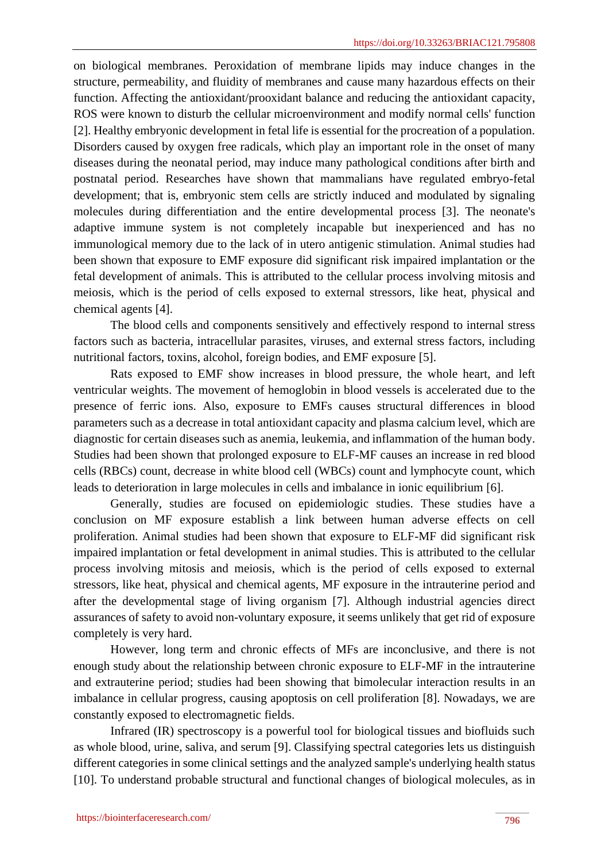on biological membranes. Peroxidation of membrane lipids may induce changes in the structure, permeability, and fluidity of membranes and cause many hazardous effects on their function. Affecting the antioxidant/prooxidant balance and reducing the antioxidant capacity, ROS were known to disturb the cellular microenvironment and modify normal cells' function [2]. Healthy embryonic development in fetal life is essential for the procreation of a population. Disorders caused by oxygen free radicals, which play an important role in the onset of many diseases during the neonatal period, may induce many pathological conditions after birth and postnatal period. Researches have shown that mammalians have regulated embryo-fetal development; that is, embryonic stem cells are strictly induced and modulated by signaling molecules during differentiation and the entire developmental process [3]. The neonate's adaptive immune system is not completely incapable but inexperienced and has no immunological memory due to the lack of in utero antigenic stimulation. Animal studies had been shown that exposure to EMF exposure did significant risk impaired implantation or the fetal development of animals. This is attributed to the cellular process involving mitosis and meiosis, which is the period of cells exposed to external stressors, like heat, physical and chemical agents [4].

The blood cells and components sensitively and effectively respond to internal stress factors such as bacteria, intracellular parasites, viruses, and external stress factors, including nutritional factors, toxins, alcohol, foreign bodies, and EMF exposure [5].

Rats exposed to EMF show increases in blood pressure, the whole heart, and left ventricular weights. The movement of hemoglobin in blood vessels is accelerated due to the presence of ferric ions. Also, exposure to EMFs causes structural differences in blood parameters such as a decrease in total antioxidant capacity and plasma calcium level, which are diagnostic for certain diseases such as anemia, leukemia, and inflammation of the human body. Studies had been shown that prolonged exposure to ELF-MF causes an increase in red blood cells (RBCs) count, decrease in white blood cell (WBCs) count and lymphocyte count, which leads to deterioration in large molecules in cells and imbalance in ionic equilibrium [6].

Generally, studies are focused on epidemiologic studies. These studies have a conclusion on MF exposure establish a link between human adverse effects on cell proliferation. Animal studies had been shown that exposure to ELF-MF did significant risk impaired implantation or fetal development in animal studies. This is attributed to the cellular process involving mitosis and meiosis, which is the period of cells exposed to external stressors, like heat, physical and chemical agents, MF exposure in the intrauterine period and after the developmental stage of living organism [7]. Although industrial agencies direct assurances of safety to avoid non-voluntary exposure, it seems unlikely that get rid of exposure completely is very hard.

However, long term and chronic effects of MFs are inconclusive, and there is not enough study about the relationship between chronic exposure to ELF-MF in the intrauterine and extrauterine period; studies had been showing that bimolecular interaction results in an imbalance in cellular progress, causing apoptosis on cell proliferation [8]. Nowadays, we are constantly exposed to electromagnetic fields.

Infrared (IR) spectroscopy is a powerful tool for biological tissues and biofluids such as whole blood, urine, saliva, and serum [9]. Classifying spectral categories lets us distinguish different categories in some clinical settings and the analyzed sample's underlying health status [10]. To understand probable structural and functional changes of biological molecules, as in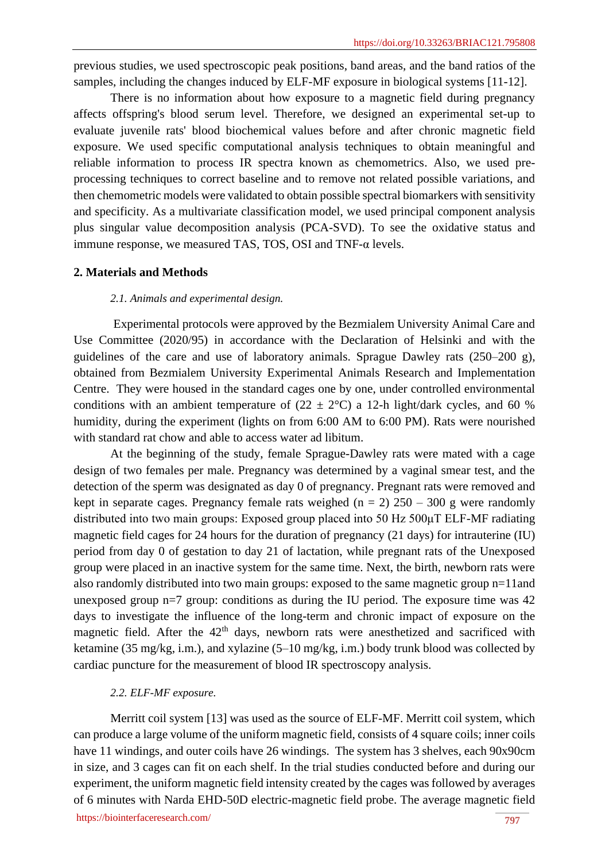previous studies, we used spectroscopic peak positions, band areas, and the band ratios of the samples, including the changes induced by ELF-MF exposure in biological systems [11-12].

There is no information about how exposure to a magnetic field during pregnancy affects offspring's blood serum level. Therefore, we designed an experimental set-up to evaluate juvenile rats' blood biochemical values before and after chronic magnetic field exposure. We used specific computational analysis techniques to obtain meaningful and reliable information to process IR spectra known as chemometrics. Also, we used preprocessing techniques to correct baseline and to remove not related possible variations, and then chemometric models were validated to obtain possible spectral biomarkers with sensitivity and specificity. As a multivariate classification model, we used principal component analysis plus singular value decomposition analysis (PCA-SVD). To see the oxidative status and immune response, we measured TAS, TOS, OSI and TNF-α levels.

#### **2. Materials and Methods**

## *2.1. Animals and experimental design.*

Experimental protocols were approved by the Bezmialem University Animal Care and Use Committee (2020/95) in accordance with the Declaration of Helsinki and with the guidelines of the care and use of laboratory animals. Sprague Dawley rats (250–200 g), obtained from Bezmialem University Experimental Animals Research and Implementation Centre. They were housed in the standard cages one by one, under controlled environmental conditions with an ambient temperature of  $(22 \pm 2^{\circ}C)$  a 12-h light/dark cycles, and 60 % humidity, during the experiment (lights on from 6:00 AM to 6:00 PM). Rats were nourished with standard rat chow and able to access water ad libitum.

At the beginning of the study, female Sprague-Dawley rats were mated with a cage design of two females per male. Pregnancy was determined by a vaginal smear test, and the detection of the sperm was designated as day 0 of pregnancy. Pregnant rats were removed and kept in separate cages. Pregnancy female rats weighed ( $n = 2$ ) 250 – 300 g were randomly distributed into two main groups: Exposed group placed into 50 Hz 500μT ELF-MF radiating magnetic field cages for 24 hours for the duration of pregnancy (21 days) for intrauterine (IU) period from day 0 of gestation to day 21 of lactation, while pregnant rats of the Unexposed group were placed in an inactive system for the same time. Next, the birth, newborn rats were also randomly distributed into two main groups: exposed to the same magnetic group n=11and unexposed group  $n=7$  group: conditions as during the IU period. The exposure time was  $42$ days to investigate the influence of the long-term and chronic impact of exposure on the magnetic field. After the  $42<sup>th</sup>$  days, newborn rats were anesthetized and sacrificed with ketamine (35 mg/kg, i.m.), and xylazine (5–10 mg/kg, i.m.) body trunk blood was collected by cardiac puncture for the measurement of blood IR spectroscopy analysis.

# *2.2. ELF-MF exposure.*

Merritt coil system [13] was used as the source of ELF-MF. Merritt coil system, which can produce a large volume of the uniform magnetic field, consists of 4 square coils; inner coils have 11 windings, and outer coils have 26 windings. The system has 3 shelves, each 90x90cm in size, and 3 cages can fit on each shelf. In the trial studies conducted before and during our experiment, the uniform magnetic field intensity created by the cages was followed by averages of 6 minutes with Narda EHD-50D electric-magnetic field probe. The average magnetic field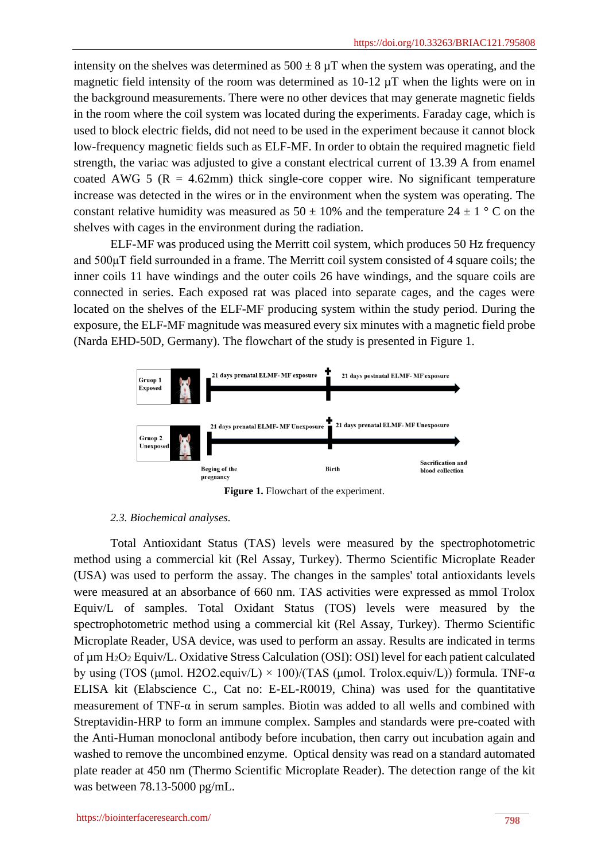intensity on the shelves was determined as  $500 \pm 8 \mu T$  when the system was operating, and the magnetic field intensity of the room was determined as 10-12 µT when the lights were on in the background measurements. There were no other devices that may generate magnetic fields in the room where the coil system was located during the experiments. Faraday cage, which is used to block electric fields, did not need to be used in the experiment because it cannot block low-frequency magnetic fields such as ELF-MF. In order to obtain the required magnetic field strength, the variac was adjusted to give a constant electrical current of 13.39 A from enamel coated AWG 5 ( $R = 4.62$ mm) thick single-core copper wire. No significant temperature increase was detected in the wires or in the environment when the system was operating. The constant relative humidity was measured as  $50 \pm 10\%$  and the temperature  $24 \pm 1$  ° C on the shelves with cages in the environment during the radiation.

ELF-MF was produced using the Merritt coil system, which produces 50 Hz frequency and 500μT field surrounded in a frame. The Merritt coil system consisted of 4 square coils; the inner coils 11 have windings and the outer coils 26 have windings, and the square coils are connected in series. Each exposed rat was placed into separate cages, and the cages were located on the shelves of the ELF-MF producing system within the study period. During the exposure, the ELF-MF magnitude was measured every six minutes with a magnetic field probe (Narda EHD-50D, Germany). The flowchart of the study is presented in Figure 1.



**Figure 1.** Flowchart of the experiment.

#### *2.3. Biochemical analyses.*

Total Antioxidant Status (TAS) levels were measured by the spectrophotometric method using a commercial kit (Rel Assay, Turkey). Thermo Scientific Microplate Reader (USA) was used to perform the assay. The changes in the samples' total antioxidants levels were measured at an absorbance of 660 nm. TAS activities were expressed as mmol Trolox Equiv/L of samples. Total Oxidant Status (TOS) levels were measured by the spectrophotometric method using a commercial kit (Rel Assay, Turkey). Thermo Scientific Microplate Reader, USA device, was used to perform an assay. Results are indicated in terms of um H<sub>2</sub>O<sub>2</sub> Equiv/L. Oxidative Stress Calculation (OSI): OSI) level for each patient calculated by using (TOS (μmol. H2O2.equiv/L)  $\times$  100)/(TAS (μmol. Trolox.equiv/L)) formula. TNF- $\alpha$ ELISA kit (Elabscience C., Cat no: E-EL-R0019, China) was used for the quantitative measurement of TNF- $\alpha$  in serum samples. Biotin was added to all wells and combined with Streptavidin-HRP to form an immune complex. Samples and standards were pre-coated with the Anti-Human monoclonal antibody before incubation, then carry out incubation again and washed to remove the uncombined enzyme. Optical density was read on a standard automated plate reader at 450 nm (Thermo Scientific Microplate Reader). The detection range of the kit was between 78.13-5000 pg/mL.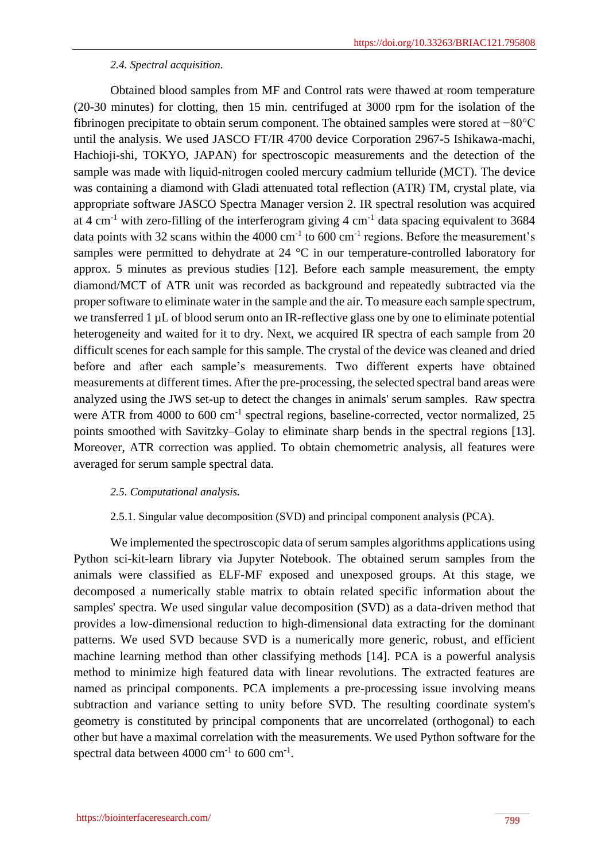## *2.4. Spectral acquisition.*

Obtained blood samples from MF and Control rats were thawed at room temperature (20-30 minutes) for clotting, then 15 min. centrifuged at 3000 rpm for the isolation of the fibrinogen precipitate to obtain serum component. The obtained samples were stored at −80°C until the analysis. We used JASCO FT/IR 4700 device Corporation 2967-5 Ishikawa-machi, Hachioji-shi, TOKYO, JAPAN) for spectroscopic measurements and the detection of the sample was made with liquid-nitrogen cooled mercury cadmium telluride (MCT). The device was containing a diamond with Gladi attenuated total reflection (ATR) TM, crystal plate, via appropriate software JASCO Spectra Manager version 2. IR spectral resolution was acquired at 4 cm<sup>-1</sup> with zero-filling of the interferogram giving 4 cm<sup>-1</sup> data spacing equivalent to 3684 data points with 32 scans within the 4000  $cm^{-1}$  to 600  $cm^{-1}$  regions. Before the measurement's samples were permitted to dehydrate at 24 °C in our temperature-controlled laboratory for approx. 5 minutes as previous studies [12]. Before each sample measurement, the empty diamond/MCT of ATR unit was recorded as background and repeatedly subtracted via the proper software to eliminate water in the sample and the air. To measure each sample spectrum, we transferred 1 µL of blood serum onto an IR-reflective glass one by one to eliminate potential heterogeneity and waited for it to dry. Next, we acquired IR spectra of each sample from 20 difficult scenes for each sample for this sample. The crystal of the device was cleaned and dried before and after each sample's measurements. Two different experts have obtained measurements at different times. After the pre-processing, the selected spectral band areas were analyzed using the JWS set-up to detect the changes in animals' serum samples. Raw spectra were ATR from 4000 to 600 cm<sup>-1</sup> spectral regions, baseline-corrected, vector normalized, 25 points smoothed with Savitzky–Golay to eliminate sharp bends in the spectral regions [13]. Moreover, ATR correction was applied. To obtain chemometric analysis, all features were averaged for serum sample spectral data.

#### *2.5. Computational analysis.*

2.5.1. Singular value decomposition (SVD) and principal component analysis (PCA).

We implemented the spectroscopic data of serum samples algorithms applications using Python sci-kit-learn library via Jupyter Notebook. The obtained serum samples from the animals were classified as ELF-MF exposed and unexposed groups. At this stage, we decomposed a numerically stable matrix to obtain related specific information about the samples' spectra. We used singular value decomposition (SVD) as a data-driven method that provides a low-dimensional reduction to high-dimensional data extracting for the dominant patterns. We used SVD because SVD is a numerically more generic, robust, and efficient machine learning method than other classifying methods [14]. PCA is a powerful analysis method to minimize high featured data with linear revolutions. The extracted features are named as principal components. PCA implements a pre-processing issue involving means subtraction and variance setting to unity before SVD. The resulting coordinate system's geometry is constituted by principal components that are uncorrelated (orthogonal) to each other but have a maximal correlation with the measurements. We used Python software for the spectral data between  $4000 \text{ cm}^{-1}$  to  $600 \text{ cm}^{-1}$ .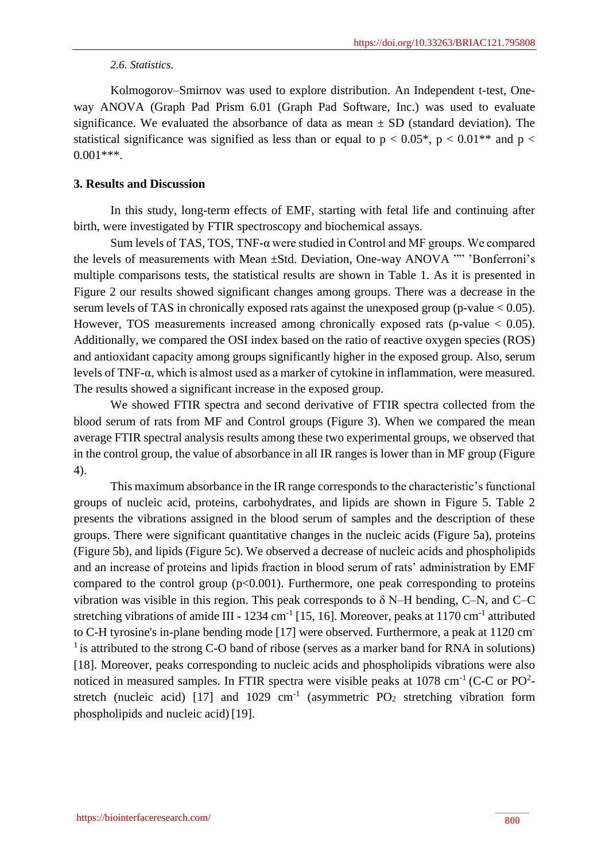#### *2.6. Statistics.*

Kolmogorov–Smirnov was used to explore distribution. An Independent t-test, Oneway ANOVA (Graph Pad Prism 6.01 (Graph Pad Software, Inc.) was used to evaluate significance. We evaluated the absorbance of data as mean  $\pm$  SD (standard deviation). The statistical significance was signified as less than or equal to  $p < 0.05^*$ ,  $p < 0.01^{**}$  and  $p <$ 0.001\*\*\*.

## **3. Results and Discussion**

In this study, long-term effects of EMF, starting with fetal life and continuing after birth, were investigated by FTIR spectroscopy and biochemical assays.

Sum levels of TAS, TOS, TNF-α were studied in Control and MF groups. We compared the levels of measurements with Mean ±Std. Deviation, One-way ANOVA "" 'Bonferroni's multiple comparisons tests, the statistical results are shown in Table 1. As it is presented in Figure 2 our results showed significant changes among groups. There was a decrease in the serum levels of TAS in chronically exposed rats against the unexposed group (p-value  $< 0.05$ ). However, TOS measurements increased among chronically exposed rats (p-value  $< 0.05$ ). Additionally, we compared the OSI index based on the ratio of reactive oxygen species (ROS) and antioxidant capacity among groups significantly higher in the exposed group. Also, serum levels of TNF-α, which is almost used as a marker of cytokine in inflammation, were measured. The results showed a significant increase in the exposed group.

We showed FTIR spectra and second derivative of FTIR spectra collected from the blood serum of rats from MF and Control groups (Figure 3). When we compared the mean average FTIR spectral analysis results among these two experimental groups, we observed that in the control group, the value of absorbance in all IR ranges is lower than in MF group (Figure 4).

This maximum absorbance in the IR range corresponds to the characteristic's functional groups of nucleic acid, proteins, carbohydrates, and lipids are shown in Figure 5. Table 2 presents the vibrations assigned in the blood serum of samples and the description of these groups. There were significant quantitative changes in the nucleic acids (Figure 5a), proteins (Figure 5b), and lipids (Figure 5c). We observed a decrease of nucleic acids and phospholipids and an increase of proteins and lipids fraction in blood serum of rats' administration by EMF compared to the control group  $(p<0.001)$ . Furthermore, one peak corresponding to proteins vibration was visible in this region. This peak corresponds to  $\delta$  N–H bending, C–N, and C–C stretching vibrations of amide III - 1234 cm<sup>-1</sup> [15, 16]. Moreover, peaks at 1170 cm<sup>-1</sup> attributed to C-H tyrosine's in-plane bending mode [17] were observed. Furthermore, a peak at 1120 cm-<sup>1</sup> is attributed to the strong C-O band of ribose (serves as a marker band for RNA in solutions) [18]. Moreover, peaks corresponding to nucleic acids and phospholipids vibrations were also noticed in measured samples. In FTIR spectra were visible peaks at 1078 cm<sup>-1</sup> (C-C or PO<sup>2</sup>stretch (nucleic acid) [17] and  $1029 \text{ cm}^{-1}$  (asymmetric PO<sub>2</sub> stretching vibration form phospholipids and nucleic acid) [19].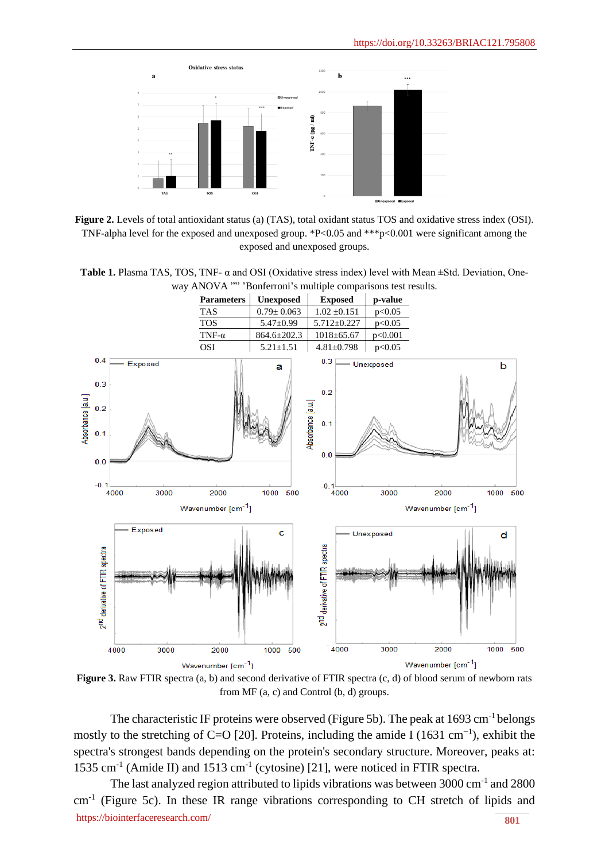

**Figure 2.** Levels of total antioxidant status (a) (TAS), total oxidant status TOS and oxidative stress index (OSI). TNF-alpha level for the exposed and unexposed group. \*P<0.05 and \*\*\*p<0.001 were significant among the exposed and unexposed groups.

**Table 1.** Plasma TAS, TOS, TNF- α and OSI (Oxidative stress index) level with Mean ±Std. Deviation, Oneway ANOVA "" 'Bonferroni's multiple comparisons test results.



**Figure 3.** Raw FTIR spectra (a, b) and second derivative of FTIR spectra (c, d) of blood serum of newborn rats from MF (a, c) and Control (b, d) groups.

The characteristic IF proteins were observed (Figure 5b). The peak at 1693 cm<sup>-1</sup> belongs mostly to the stretching of C=O [20]. Proteins, including the amide I (1631 cm<sup>-1</sup>), exhibit the spectra's strongest bands depending on the protein's secondary structure. Moreover, peaks at: 1535 cm<sup>-1</sup> (Amide II) and 1513 cm<sup>-1</sup> (cytosine) [21], were noticed in FTIR spectra.

<https://biointerfaceresearch.com/> **801** The last analyzed region attributed to lipids vibrations was between 3000 cm<sup>-1</sup> and 2800 cm<sup>-1</sup> (Figure 5c). In these IR range vibrations corresponding to CH stretch of lipids and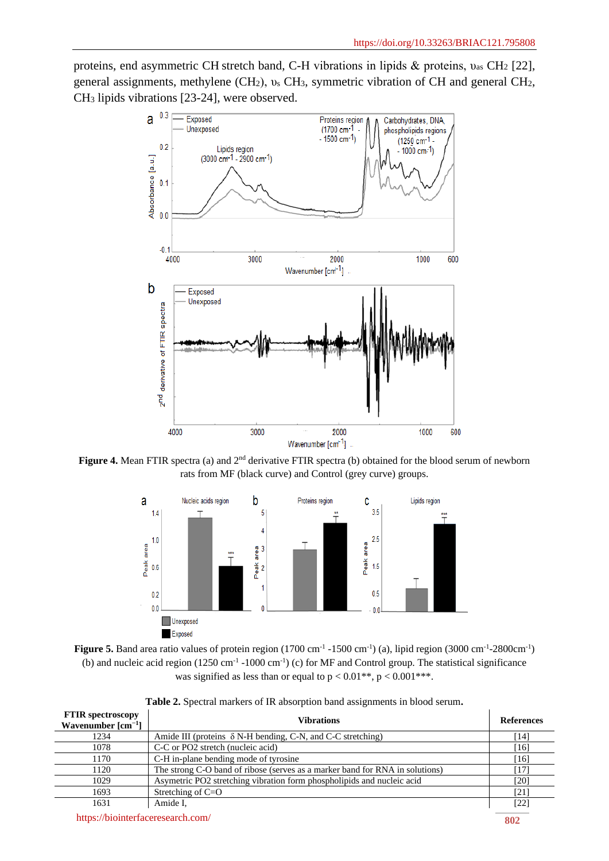proteins, end asymmetric CH stretch band, C-H vibrations in lipids & proteins, υas CH<sup>2</sup> [22], general assignments, methylene (CH2), υ<sup>s</sup> CH3, symmetric vibration of CH and general CH2, CH<sup>3</sup> lipids vibrations [23-24], were observed.



Figure 4. Mean FTIR spectra (a) and  $2<sup>nd</sup>$  derivative FTIR spectra (b) obtained for the blood serum of newborn rats from MF (black curve) and Control (grey curve) groups.





| <b>FTIR</b> spectroscopy<br>Wavenumber $\lceil$ cm <sup>-1</sup> $\rceil$ | <b>Vibrations</b>                                                            | <b>References</b> |
|---------------------------------------------------------------------------|------------------------------------------------------------------------------|-------------------|
| 1234                                                                      | Amide III (proteins $\delta$ N-H bending, C-N, and C-C stretching)           | [14]              |
| 1078                                                                      | C-C or PO2 stretch (nucleic acid)                                            | [16]              |
| 1170                                                                      | C-H in-plane bending mode of tyrosine                                        | [16]              |
| 1120                                                                      | The strong C-O band of ribose (serves as a marker band for RNA in solutions) | 17                |
| 1029                                                                      | Asymetric PO2 stretching vibration form phospholipids and nucleic acid       | [20]              |
| 1693                                                                      | Stretching of $C=O$                                                          | [21]              |
| 1631                                                                      | Amide I.                                                                     | [22]              |

<https://biointerfaceresearch.com/> **802**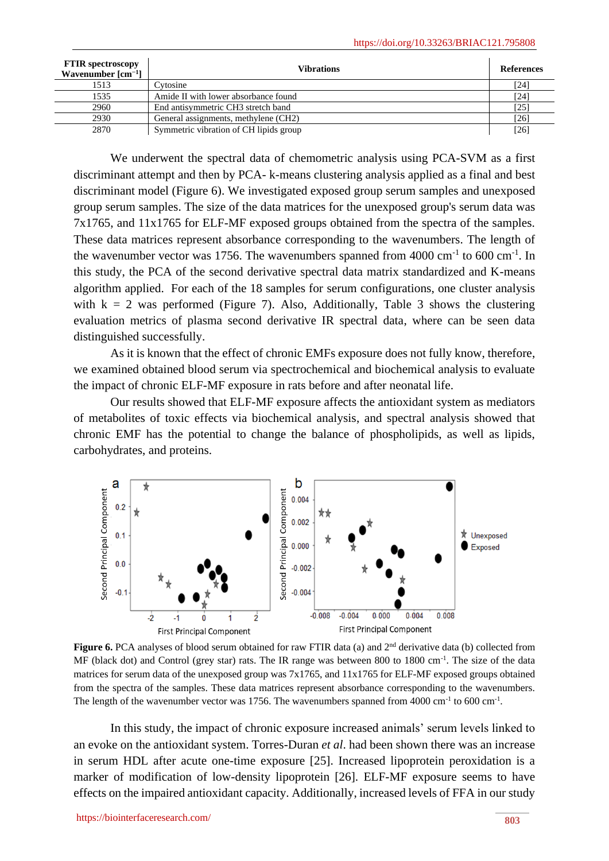| <b>FTIR</b> spectroscopy<br>Wavenumber $\lceil$ cm <sup>-1</sup> $\rceil$ | <b>Vibrations</b>                      | References         |
|---------------------------------------------------------------------------|----------------------------------------|--------------------|
| 1513                                                                      | <b>Cytosine</b>                        | [24]               |
| 1535                                                                      | Amide II with lower absorbance found   | $\lceil 24 \rceil$ |
| 2960                                                                      | End antisymmetric CH3 stretch band     | $[25]$             |
| 2930                                                                      | General assignments, methylene (CH2)   | [26]               |
| 2870                                                                      | Symmetric vibration of CH lipids group | $[26]$             |

We underwent the spectral data of chemometric analysis using PCA-SVM as a first discriminant attempt and then by PCA- k-means clustering analysis applied as a final and best discriminant model (Figure 6). We investigated exposed group serum samples and unexposed group serum samples. The size of the data matrices for the unexposed group's serum data was 7x1765, and 11x1765 for ELF-MF exposed groups obtained from the spectra of the samples. These data matrices represent absorbance corresponding to the wavenumbers. The length of the wavenumber vector was 1756. The wavenumbers spanned from  $4000 \text{ cm}^{-1}$  to  $600 \text{ cm}^{-1}$ . In this study, the PCA of the second derivative spectral data matrix standardized and K-means algorithm applied. For each of the 18 samples for serum configurations, one cluster analysis with  $k = 2$  was performed (Figure 7). Also, Additionally, Table 3 shows the clustering evaluation metrics of plasma second derivative IR spectral data, where can be seen data distinguished successfully.

As it is known that the effect of chronic EMFs exposure does not fully know, therefore, we examined obtained blood serum via spectrochemical and biochemical analysis to evaluate the impact of chronic ELF-MF exposure in rats before and after neonatal life.

Our results showed that ELF-MF exposure affects the antioxidant system as mediators of metabolites of toxic effects via biochemical analysis, and spectral analysis showed that chronic EMF has the potential to change the balance of phospholipids, as well as lipids, carbohydrates, and proteins.



**Figure 6.** PCA analyses of blood serum obtained for raw FTIR data (a) and 2<sup>nd</sup> derivative data (b) collected from MF (black dot) and Control (grey star) rats. The IR range was between 800 to 1800 cm<sup>-1</sup>. The size of the data matrices for serum data of the unexposed group was 7x1765, and 11x1765 for ELF-MF exposed groups obtained from the spectra of the samples. These data matrices represent absorbance corresponding to the wavenumbers. The length of the wavenumber vector was 1756. The wavenumbers spanned from 4000 cm<sup>-1</sup> to 600 cm<sup>-1</sup>.

In this study, the impact of chronic exposure increased animals' serum levels linked to an evoke on the antioxidant system. Torres-Duran *et al*. had been shown there was an increase in serum HDL after acute one-time exposure [25]. Increased lipoprotein peroxidation is a marker of modification of low-density lipoprotein [26]. ELF-MF exposure seems to have effects on the impaired antioxidant capacity. Additionally, increased levels of FFA in our study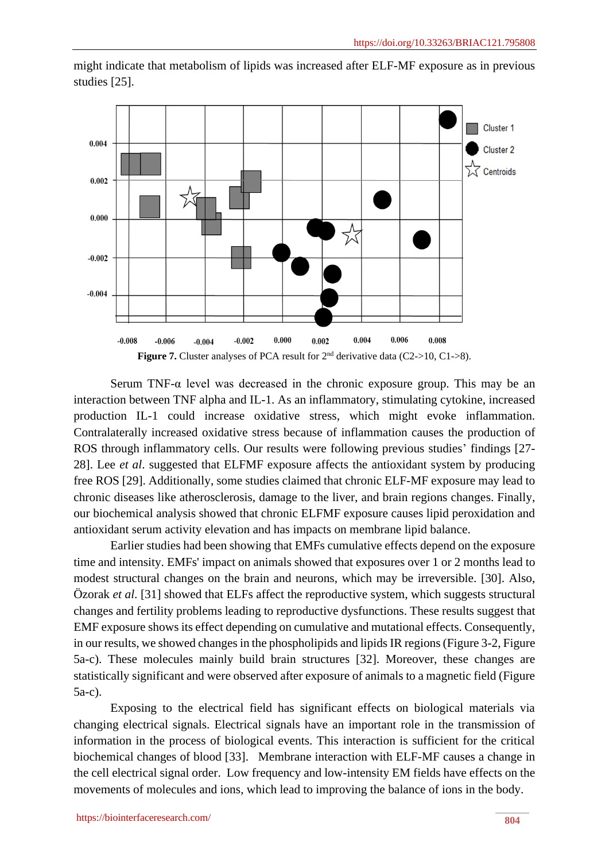

might indicate that metabolism of lipids was increased after ELF-MF exposure as in previous studies [25].

Serum TNF- $\alpha$  level was decreased in the chronic exposure group. This may be an interaction between TNF alpha and IL-1. As an inflammatory, stimulating cytokine, increased production IL-1 could increase oxidative stress, which might evoke inflammation. Contralaterally increased oxidative stress because of inflammation causes the production of ROS through inflammatory cells. Our results were following previous studies' findings [27- 28]. Lee *et al*. suggested that ELFMF exposure affects the antioxidant system by producing free ROS [29]. Additionally, some studies claimed that chronic ELF-MF exposure may lead to chronic diseases like atherosclerosis, damage to the liver, and brain regions changes. Finally, our biochemical analysis showed that chronic ELFMF exposure causes lipid peroxidation and antioxidant serum activity elevation and has impacts on membrane lipid balance.

Earlier studies had been showing that EMFs cumulative effects depend on the exposure time and intensity. EMFs' impact on animals showed that exposures over 1 or 2 months lead to modest structural changes on the brain and neurons, which may be irreversible. [30]. Also, Özorak *et al*. [31] showed that ELFs affect the reproductive system, which suggests structural changes and fertility problems leading to reproductive dysfunctions. These results suggest that EMF exposure shows its effect depending on cumulative and mutational effects. Consequently, in our results, we showed changes in the phospholipids and lipids IR regions (Figure 3-2, Figure 5a-c). These molecules mainly build brain structures [32]. Moreover, these changes are statistically significant and were observed after exposure of animals to a magnetic field (Figure 5a-c).

Exposing to the electrical field has significant effects on biological materials via changing electrical signals. Electrical signals have an important role in the transmission of information in the process of biological events. This interaction is sufficient for the critical biochemical changes of blood [33]. Membrane interaction with ELF-MF causes a change in the cell electrical signal order. Low frequency and low-intensity EM fields have effects on the movements of molecules and ions, which lead to improving the balance of ions in the body.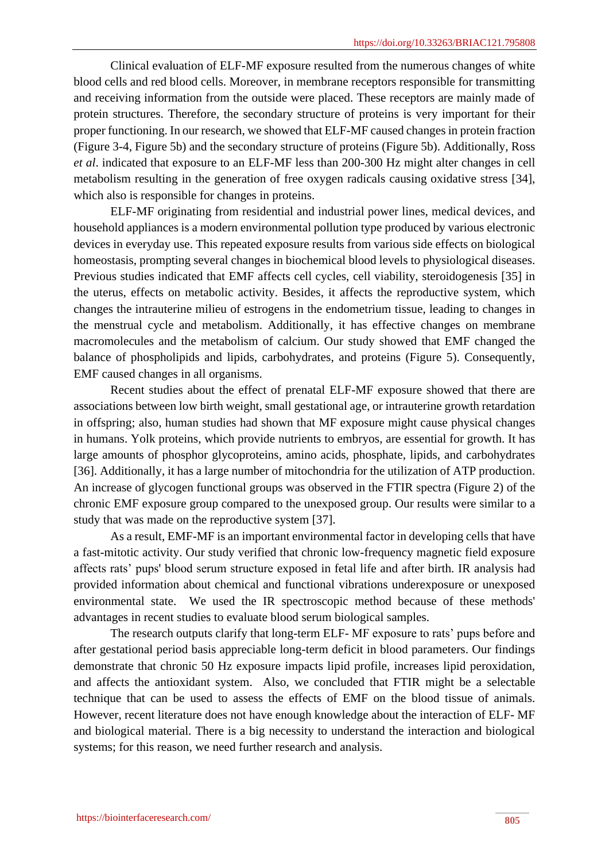Clinical evaluation of ELF-MF exposure resulted from the numerous changes of white blood cells and red blood cells. Moreover, in membrane receptors responsible for transmitting and receiving information from the outside were placed. These receptors are mainly made of protein structures. Therefore, the secondary structure of proteins is very important for their proper functioning. In our research, we showed that ELF-MF caused changes in protein fraction (Figure 3-4, Figure 5b) and the secondary structure of proteins (Figure 5b). Additionally, Ross *et al*. indicated that exposure to an ELF-MF less than 200-300 Hz might alter changes in cell metabolism resulting in the generation of free oxygen radicals causing oxidative stress [34], which also is responsible for changes in proteins.

ELF-MF originating from residential and industrial power lines, medical devices, and household appliances is a modern environmental pollution type produced by various electronic devices in everyday use. This repeated exposure results from various side effects on biological homeostasis, prompting several changes in biochemical blood levels to physiological diseases. Previous studies indicated that EMF affects cell cycles, cell viability, steroidogenesis [35] in the uterus, effects on metabolic activity. Besides, it affects the reproductive system, which changes the intrauterine milieu of estrogens in the endometrium tissue, leading to changes in the menstrual cycle and metabolism. Additionally, it has effective changes on membrane macromolecules and the metabolism of calcium. Our study showed that EMF changed the balance of phospholipids and lipids, carbohydrates, and proteins (Figure 5). Consequently, EMF caused changes in all organisms.

Recent studies about the effect of prenatal ELF-MF exposure showed that there are associations between low birth weight, small gestational age, or intrauterine growth retardation in offspring; also, human studies had shown that MF exposure might cause physical changes in humans. Yolk proteins, which provide nutrients to embryos, are essential for growth. It has large amounts of phosphor glycoproteins, amino acids, phosphate, lipids, and carbohydrates [36]. Additionally, it has a large number of mitochondria for the utilization of ATP production. An increase of glycogen functional groups was observed in the FTIR spectra (Figure 2) of the chronic EMF exposure group compared to the unexposed group. Our results were similar to a study that was made on the reproductive system [37].

As a result, EMF-MF is an important environmental factor in developing cells that have a fast-mitotic activity. Our study verified that chronic low-frequency magnetic field exposure affects rats' pups' blood serum structure exposed in fetal life and after birth. IR analysis had provided information about chemical and functional vibrations underexposure or unexposed environmental state. We used the IR spectroscopic method because of these methods' advantages in recent studies to evaluate blood serum biological samples.

The research outputs clarify that long-term ELF- MF exposure to rats' pups before and after gestational period basis appreciable long-term deficit in blood parameters. Our findings demonstrate that chronic 50 Hz exposure impacts lipid profile, increases lipid peroxidation, and affects the antioxidant system. Also, we concluded that FTIR might be a selectable technique that can be used to assess the effects of EMF on the blood tissue of animals. However, recent literature does not have enough knowledge about the interaction of ELF- MF and biological material. There is a big necessity to understand the interaction and biological systems; for this reason, we need further research and analysis.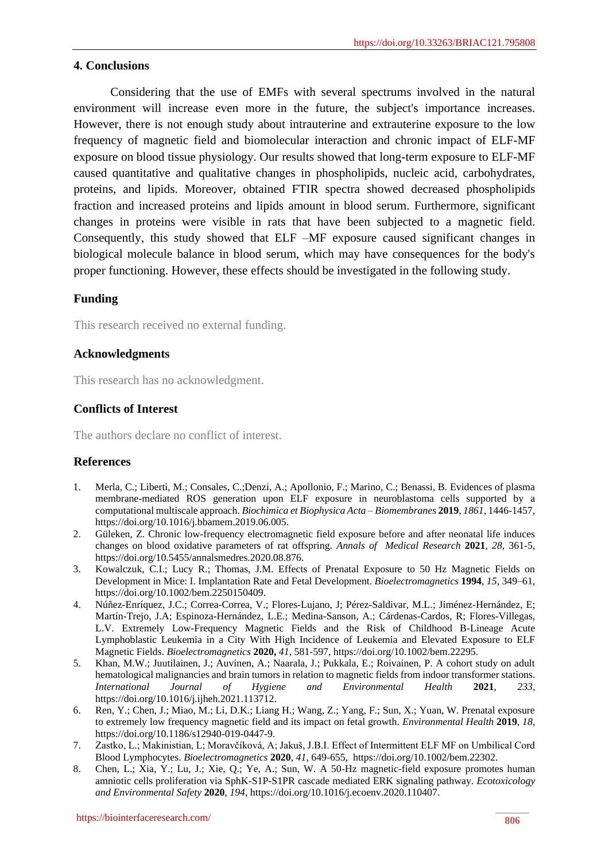#### **4. Conclusions**

Considering that the use of EMFs with several spectrums involved in the natural environment will increase even more in the future, the subject's importance increases. However, there is not enough study about intrauterine and extrauterine exposure to the low frequency of magnetic field and biomolecular interaction and chronic impact of ELF-MF exposure on blood tissue physiology. Our results showed that long-term exposure to ELF-MF caused quantitative and qualitative changes in phospholipids, nucleic acid, carbohydrates, proteins, and lipids. Moreover, obtained FTIR spectra showed decreased phospholipids fraction and increased proteins and lipids amount in blood serum. Furthermore, significant changes in proteins were visible in rats that have been subjected to a magnetic field. Consequently, this study showed that ELF –MF exposure caused significant changes in biological molecule balance in blood serum, which may have consequences for the body's proper functioning. However, these effects should be investigated in the following study.

## **Funding**

This research received no external funding.

## **Acknowledgments**

This research has no acknowledgment.

## **Conflicts of Interest**

The authors declare no conflict of interest.

## **References**

- 1. Merla, C.; Liberti, M.; Consales, C.;Denzi, A.; Apollonio, F.; Marino, C.; Benassi, B. Evidences of plasma membrane-mediated ROS generation upon ELF exposure in neuroblastoma cells supported by a computational multiscale approach. *Biochimica et Biophysica Acta – Biomembranes* **2019**, *1861,* 1446-1457, [https://doi.org/10.1016/j.bbamem.2019.06.005.](https://doi.org/10.1016/j.bbamem.2019.06.005)
- 2. Güleken, Z. Chronic low-frequency electromagnetic field exposure before and after neonatal life induces changes on blood oxidative parameters of rat offspring. *Annals of Medical Research* **2021**, *28,* 361-5, [https://doi.org/10.5455/annalsmedres.2020.08.876.](https://doi.org/10.5455/annalsmedres.2020.08.876)
- 3. Kowalczuk, C.I.; Lucy R.; Thomas, J.M. Effects of Prenatal Exposure to 50 Hz Magnetic Fields on Development in Mice: I. Implantation Rate and Fetal Development. *Bioelectromagnetics* **1994**, *15,* 349–61, [https://doi.org/10.1002/bem.2250150409.](https://doi.org/10.1002/bem.2250150409)
- 4. Núñez-Enríquez, J.C.; Correa-Correa, V.; Flores-Lujano, J; Pérez-Saldivar, M.L.; Jiménez-Hernández, E; Martín-Trejo, J.A; Espinoza-Hernández, L.E.; Medina-Sanson, A.; Cárdenas-Cardos, R; Flores-Villegas, L.V. Extremely Low-Frequency Magnetic Fields and the Risk of Childhood B-Lineage Acute Lymphoblastic Leukemia in a City With High Incidence of Leukemia and Elevated Exposure to ELF Magnetic Fields. *Bioelectromagnetics* **2020,** *41*, 581-597, [https://doi.org/10.1002/bem.22295.](https://doi.org/10.1002/bem.22295)
- 5. Khan, M.W.; Juutilainen, J.; Auvinen, A.; Naarala, J.; Pukkala, E.; Roivainen, P. A cohort study on adult hematological malignancies and brain tumors in relation to magnetic fields from indoor transformer stations. *International Journal of Hygiene and Environmental Health* **2021**, *233,* [https://doi.org/10.1016/j.ijheh.2021.113712.](https://doi.org/10.1016/j.ijheh.2021.113712)
- 6. Ren, Y.; Chen, J.; Miao, M.; Li, D.K.; Liang H.; Wang, Z.; Yang, F.; Sun, X.; Yuan, W. Prenatal exposure to extremely low frequency magnetic field and its impact on fetal growth. *Environmental Health* **2019**, *18*, [https://doi.org/10.1186/s12940-019-0447-9.](https://doi.org/10.1186/s12940-019-0447-9)
- 7. Zastko, L.; Makinistian, L; Moravčíková, A; Jakuš, J.B.I. Effect of Intermittent ELF MF on Umbilical Cord Blood Lymphocytes. *Bioelectromagnetics* **2020**, *41*, 649-655, [https://doi.org/10.1002/bem.22302.](https://doi.org/10.1002/bem.22302)
- 8. Chen, L.; Xia, Y.; Lu, J.; Xie, Q.; Ye, A.; Sun, W. A 50-Hz magnetic-field exposure promotes human amniotic cells proliferation via SphK-S1P-S1PR cascade mediated ERK signaling pathway. *Ecotoxicology and Environmental Safety* **2020**, *194,* [https://doi.org/10.1016/j.ecoenv.2020.110407.](https://doi.org/10.1016/j.ecoenv.2020.110407)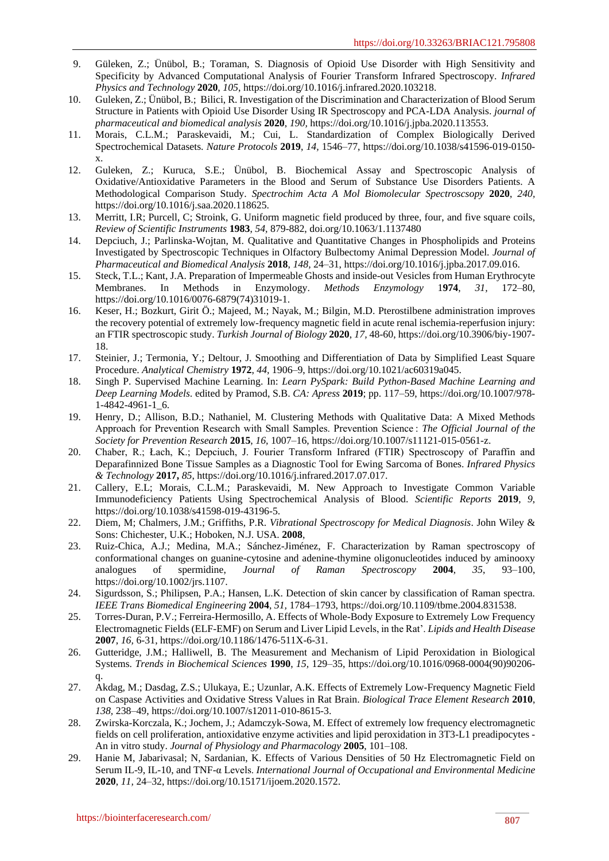- 9. Güleken, Z.; Ünübol, B.; Toraman, S. Diagnosis of Opioid Use Disorder with High Sensitivity and Specificity by Advanced Computational Analysis of Fourier Transform Infrared Spectroscopy. *Infrared Physics and Technology* **2020**, *105*, [https://doi.org/10.1016/j.infrared.2020.103218.](https://doi.org/10.1016/j.infrared.2020.103218)
- 10. Guleken, Z.; Ünübol, B.; Bilici, R. Investigation of the Discrimination and Characterization of Blood Serum Structure in Patients with Opioid Use Disorder Using IR Spectroscopy and PCA-LDA Analysis. *journal of pharmaceutical and biomedical analysis* **2020**, *190,* [https://doi.org/10.1016/j.jpba.2020.113553.](https://doi.org/10.1016/j.jpba.2020.113553)
- 11. Morais, C.L.M.; Paraskevaidi, M.; Cui, L. Standardization of Complex Biologically Derived Spectrochemical Datasets. *Nature Protocols* **2019**, *14,* 1546–77, [https://doi.org/10.1038/s41596-019-0150](https://doi.org/10.1038/s41596-019-0150-x) [x.](https://doi.org/10.1038/s41596-019-0150-x)
- 12. Guleken, Z.; Kuruca, S.E.; Ünübol, B. Biochemical Assay and Spectroscopic Analysis of Oxidative/Antioxidative Parameters in the Blood and Serum of Substance Use Disorders Patients. A Methodological Comparison Study. *Spectrochim Acta A Mol Biomolecular Spectroscsopy* **2020**, *240,* [https://doi.org/10.1016/j.saa.2020.118625.](https://doi.org/10.1016/j.saa.2020.118625)
- 13. Merritt, I.R; Purcell, C; Stroink, G. Uniform magnetic field produced by three, four, and five square coils, *Review of Scientific Instruments* **1983**, *54,* 879-882, doi.org/10.1063/1.1137480
- 14. Depciuch, J.; Parlinska-Wojtan, M. Qualitative and Quantitative Changes in Phospholipids and Proteins Investigated by Spectroscopic Techniques in Olfactory Bulbectomy Animal Depression Model. *Journal of Pharmaceutical and Biomedical Analysis* **2018**, *148,* 24–31, [https://doi.org/10.1016/j.jpba.2017.09.016.](https://doi.org/10.1016/j.jpba.2017.09.016)
- 15. Steck, T.L.; Kant, J.A. Preparation of Impermeable Ghosts and inside-out Vesicles from Human Erythrocyte Membranes. In Methods in Enzymology. *Methods Enzymology* 1**974**, *31,* 172–80, [https://doi.org/10.1016/0076-6879\(74\)31019-1.](https://doi.org/10.1016/0076-6879(74)31019-1)
- 16. Keser, H.; Bozkurt, Girit Ö.; Majeed, M.; Nayak, M.; Bilgin, M.D. Pterostilbene administration improves the recovery potential of extremely low-frequency magnetic field in acute renal ischemia-reperfusion injury: an FTIR spectroscopic study. *Turkish Journal of Biology* **2020**, *17,* 48-60[, https://doi.org/10.3906/biy-1907-](https://doi.org/10.3906/biy-1907-18) [18.](https://doi.org/10.3906/biy-1907-18)
- 17. Steinier, J.; Termonia, Y.; Deltour, J. Smoothing and Differentiation of Data by Simplified Least Square Procedure. *Analytical Chemistry* **1972**, *44,* 1906–9, [https://doi.org/10.1021/ac60319a045.](https://doi.org/10.1021/ac60319a045)
- 18. Singh P. Supervised Machine Learning. In: *Learn PySpark: Build Python-Based Machine Learning and Deep Learning Models*. edited by Pramod, S.B. *CA: Apress* **2019**; pp. 117–59[, https://doi.org/10.1007/978-](https://doi.org/10.1007/978-1-4842-4961-1_6) [1-4842-4961-1\\_6.](https://doi.org/10.1007/978-1-4842-4961-1_6)
- 19. Henry, D.; Allison, B.D.; Nathaniel, M. Clustering Methods with Qualitative Data: A Mixed Methods Approach for Prevention Research with Small Samples. Prevention Science : *The Official Journal of the Society for Prevention Research* **2015**, *16,* 1007–16, [https://doi.org/10.1007/s11121-015-0561-z.](https://doi.org/10.1007/s11121-015-0561-z)
- 20. Chaber, R.; Łach, K.; Depciuch, J. Fourier Transform Infrared (FTIR) Spectroscopy of Paraffin and Deparafinnized Bone Tissue Samples as a Diagnostic Tool for Ewing Sarcoma of Bones. *Infrared Physics & Technology* **2017,** *85*[, https://doi.org/10.1016/j.infrared.2017.07.017.](https://doi.org/10.1016/j.infrared.2017.07.017)
- 21. Callery, E.L; Morais, C.L.M.; Paraskevaidi, M. New Approach to Investigate Common Variable Immunodeficiency Patients Using Spectrochemical Analysis of Blood. *Scientific Reports* **2019**, *9*, [https://doi.org/10.1038/s41598-019-43196-5.](https://doi.org/10.1038/s41598-019-43196-5)
- 22. Diem, M; Chalmers, J.M.; Griffiths, P.R. *Vibrational Spectroscopy for Medical Diagnosis*. John Wiley & Sons: Chichester, U.K.; Hoboken, N.J. USA. **2008**,
- 23. Ruiz-Chica, A.J.; Medina, M.A.; Sánchez-Jiménez, F. Characterization by Raman spectroscopy of conformational changes on guanine-cytosine and adenine-thymine oligonucleotides induced by aminooxy analogues of spermidine, *Journal of Raman Spectroscopy* **2004**, *35*, 93–100, [https://doi.org/10.1002/jrs.1107.](https://doi.org/10.1002/jrs.1107)
- 24. Sigurdsson, S.; Philipsen, P.A.; Hansen, L.K. Detection of skin cancer by classification of Raman spectra. *IEEE Trans Biomedical Engineering* **2004**, *51,* 1784–1793, [https://doi.org/10.1109/tbme.2004.831538.](https://doi.org/10.1109/tbme.2004.831538)
- 25. Torres-Duran, P.V.; Ferreira-Hermosillo, A. Effects of Whole-Body Exposure to Extremely Low Frequency Electromagnetic Fields (ELF-EMF) on Serum and Liver Lipid Levels, in the Rat'. *Lipids and Health Disease*  **2007**, *16,* 6-31[, https://doi.org/10.1186/1476-511X-6-31.](https://doi.org/10.1186/1476-511X-6-31)
- 26. Gutteridge, J.M.; Halliwell, B. The Measurement and Mechanism of Lipid Peroxidation in Biological Systems. *Trends in Biochemical Sciences* **1990**, *15,* 129–35, [https://doi.org/10.1016/0968-0004\(90\)90206](https://doi.org/10.1016/0968-0004(90)90206-q) [q.](https://doi.org/10.1016/0968-0004(90)90206-q)
- 27. Akdag, M.; Dasdag, Z.S.; Ulukaya, E.; Uzunlar, A.K. Effects of Extremely Low-Frequency Magnetic Field on Caspase Activities and Oxidative Stress Values in Rat Brain. *Biological Trace Element Research* **2010**, *138,* 238–49, [https://doi.org/10.1007/s12011-010-8615-3.](https://doi.org/10.1007/s12011-010-8615-3)
- 28. Zwirska-Korczala, K.; Jochem, J.; Adamczyk-Sowa, M. Effect of extremely low frequency electromagnetic fields on cell proliferation, antioxidative enzyme activities and lipid peroxidation in 3T3-L1 preadipocytes - An in vitro study. *Journal of Physiology and Pharmacology* **2005**, 101–108.
- 29. Hanie M, Jabarivasal; N, Sardanian, K. Effects of Various Densities of 50 Hz Electromagnetic Field on Serum IL-9, IL-10, and TNF-α Levels. *International Journal of Occupational and Environmental Medicine* **2020**, *11,* 24–32, [https://doi.org/10.15171/ijoem.2020.1572.](https://doi.org/10.15171/ijoem.2020.1572)